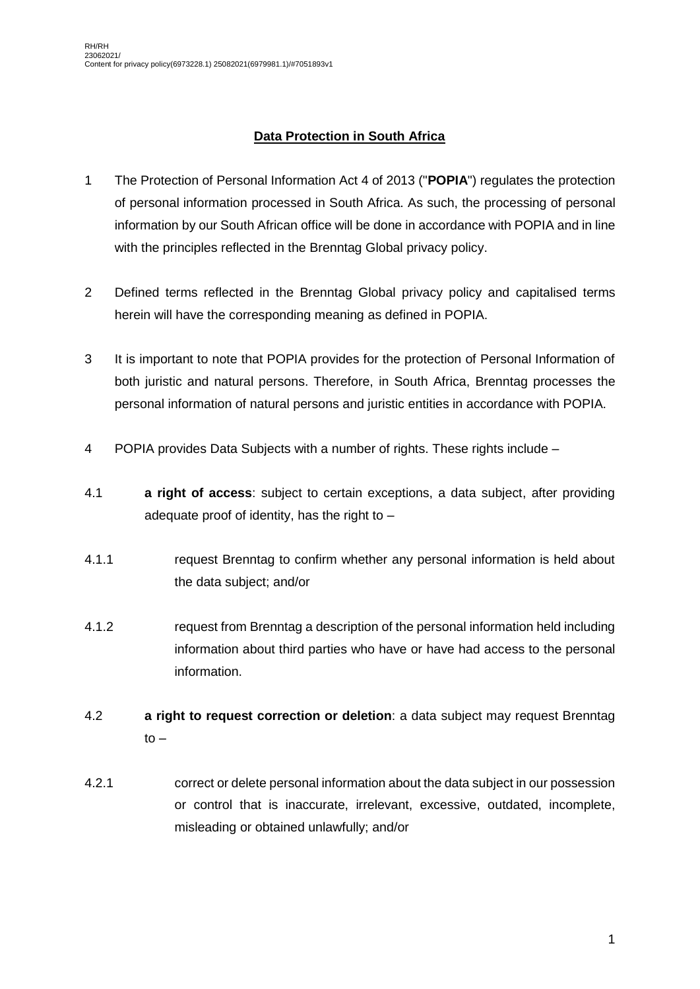## **Data Protection in South Africa**

- 1 The Protection of Personal Information Act 4 of 2013 ("**POPIA**") regulates the protection of personal information processed in South Africa. As such, the processing of personal information by our South African office will be done in accordance with POPIA and in line with the principles reflected in the Brenntag Global privacy policy.
- 2 Defined terms reflected in the Brenntag Global privacy policy and capitalised terms herein will have the corresponding meaning as defined in POPIA.
- 3 It is important to note that POPIA provides for the protection of Personal Information of both juristic and natural persons. Therefore, in South Africa, Brenntag processes the personal information of natural persons and juristic entities in accordance with POPIA.
- 4 POPIA provides Data Subjects with a number of rights. These rights include –
- 4.1 **a right of access**: subject to certain exceptions, a data subject, after providing adequate proof of identity, has the right to  $-$
- 4.1.1 request Brenntag to confirm whether any personal information is held about the data subject; and/or
- 4.1.2 request from Brenntag a description of the personal information held including information about third parties who have or have had access to the personal information.
- 4.2 **a right to request correction or deletion**: a data subject may request Brenntag  $to -$
- 4.2.1 correct or delete personal information about the data subject in our possession or control that is inaccurate, irrelevant, excessive, outdated, incomplete, misleading or obtained unlawfully; and/or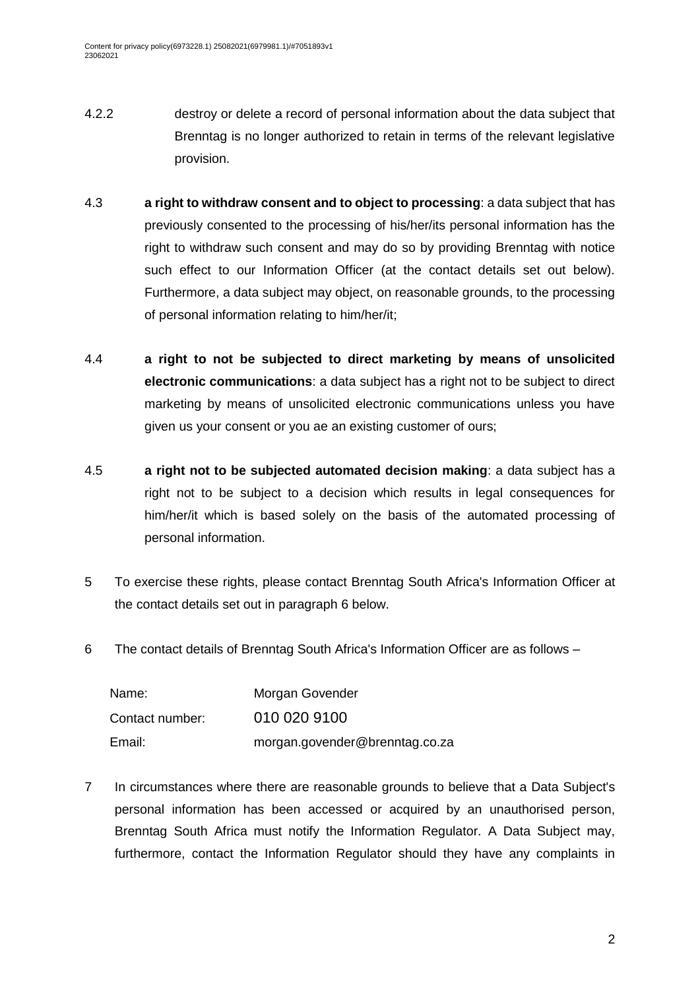- 4.2.2 destroy or delete a record of personal information about the data subject that Brenntag is no longer authorized to retain in terms of the relevant legislative provision.
- 4.3 **a right to withdraw consent and to object to processing**: a data subject that has previously consented to the processing of his/her/its personal information has the right to withdraw such consent and may do so by providing Brenntag with notice such effect to our Information Officer (at the contact details set out below). Furthermore, a data subject may object, on reasonable grounds, to the processing of personal information relating to him/her/it;
- 4.4 **a right to not be subjected to direct marketing by means of unsolicited electronic communications**: a data subject has a right not to be subject to direct marketing by means of unsolicited electronic communications unless you have given us your consent or you ae an existing customer of ours;
- 4.5 **a right not to be subjected automated decision making**: a data subject has a right not to be subject to a decision which results in legal consequences for him/her/it which is based solely on the basis of the automated processing of personal information.
- 5 To exercise these rights, please contact Brenntag South Africa's Information Officer at the contact details set out in paragraph [6](#page-1-0) below.
- <span id="page-1-0"></span>6 The contact details of Brenntag South Africa's Information Officer are as follows –

| Name:           | Morgan Govender                |
|-----------------|--------------------------------|
| Contact number: | 010 020 9100                   |
| Email:          | morgan.govender@brenntag.co.za |

7 In circumstances where there are reasonable grounds to believe that a Data Subject's personal information has been accessed or acquired by an unauthorised person, Brenntag South Africa must notify the Information Regulator. A Data Subject may, furthermore, contact the Information Regulator should they have any complaints in